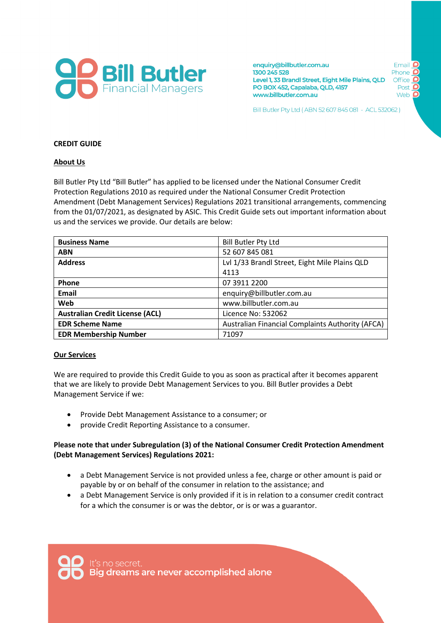

enquiry@billbutler.com.au Email 1300 245 528 Phone Level 1, 33 Brandl Street, Eight Mile Plains, QLD Office PO BOX 452, Capalaba, QLD, 4157 Post www.billbutler.com.au Web

Bill Butler Pty Ltd (ABN 52 607 845 081 - ACL 532062)

#### **CREDIT GUIDE**

#### **About Us**

Bill Butler Pty Ltd "Bill Butler" has applied to be licensed under the National Consumer Credit Protection Regulations 2010 as required under the National Consumer Credit Protection Amendment (Debt Management Services) Regulations 2021 transitional arrangements, commencing from the 01/07/2021, as designated by ASIC. This Credit Guide sets out important information about us and the services we provide. Our details are below:

| <b>Business Name</b>                   | <b>Bill Butler Pty Ltd</b>                              |
|----------------------------------------|---------------------------------------------------------|
| <b>ABN</b>                             | 52 607 845 081                                          |
| <b>Address</b>                         | Lvl 1/33 Brandl Street, Eight Mile Plains QLD           |
|                                        | 4113                                                    |
| Phone                                  | 07 3911 2200                                            |
| Email                                  | enquiry@billbutler.com.au                               |
| Web                                    | www.billbutler.com.au                                   |
| <b>Australian Credit License (ACL)</b> | Licence No: 532062                                      |
| <b>EDR Scheme Name</b>                 | <b>Australian Financial Complaints Authority (AFCA)</b> |
| <b>EDR Membership Number</b>           | 71097                                                   |

#### **Our Services**

We are required to provide this Credit Guide to you as soon as practical after it becomes apparent that we are likely to provide Debt Management Services to you. Bill Butler provides a Debt Management Service if we:

- Provide Debt Management Assistance to a consumer; or
- provide Credit Reporting Assistance to a consumer.

#### **Please note that under Subregulation (3) of the National Consumer Credit Protection Amendment (Debt Management Services) Regulations 2021:**

- a Debt Management Service is not provided unless a fee, charge or other amount is paid or payable by or on behalf of the consumer in relation to the assistance; and
- a Debt Management Service is only provided if it is in relation to a consumer credit contract for a which the consumer is or was the debtor, or is or was a guarantor.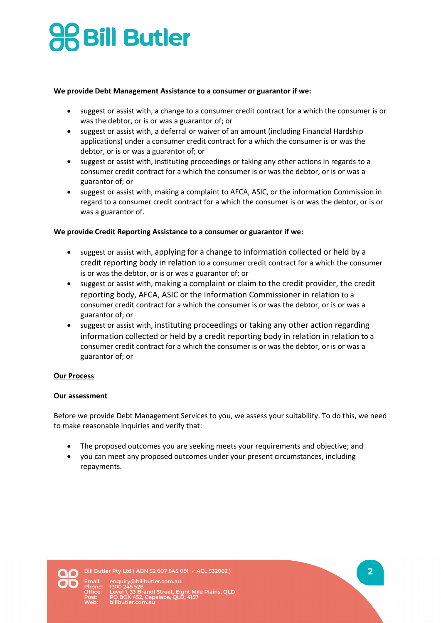# **SBill Butler**

## **We provide Debt Management Assistance to a consumer or guarantor if we:**

- suggest or assist with, a change to a consumer credit contract for a which the consumer is or was the debtor, or is or was a guarantor of; or
- suggest or assist with, a deferral or waiver of an amount (including Financial Hardship applications) under a consumer credit contract for a which the consumer is or was the debtor, or is or was a guarantor of; or
- suggest or assist with, instituting proceedings or taking any other actions in regards to a consumer credit contract for a which the consumer is or was the debtor, or is or was a guarantor of; or
- suggest or assist with, making a complaint to AFCA, ASIC, or the information Commission in regard to a consumer credit contract for a which the consumer is or was the debtor, or is or was a guarantor of.

# **We provide Credit Reporting Assistance to a consumer or guarantor if we:**

- suggest or assist with, applying for a change to information collected or held by a credit reporting body in relation to a consumer credit contract for a which the consumer is or was the debtor, or is or was a guarantor of; or
- suggest or assist with, making a complaint or claim to the credit provider, the credit reporting body, AFCA, ASIC or the Information Commissioner in relation to a consumer credit contract for a which the consumer is or was the debtor, or is or was a guarantor of; or
- suggest or assist with, instituting proceedings or taking any other action regarding information collected or held by a credit reporting body in relation in relation to a consumer credit contract for a which the consumer is or was the debtor, or is or was a guarantor of; or

#### **Our Process**

#### **Our assessment**

Before we provide Debt Management Services to you, we assess your suitability. To do this, we need to make reasonable inquiries and verify that:

- The proposed outcomes you are seeking meets your requirements and objective; and
- you can meet any proposed outcomes under your present circumstances, including repayments.



Bill Butler Pty Ltd (ABN 52 607 845 081 - ACL 532062)

@billbutler.com.au isou 245 526<br>Level 1, 33 Brandl Street, Eight Mile Plains, QLD<br>PO BOX 452, Capalaba, QLD, 4157<br>billbutler.com.au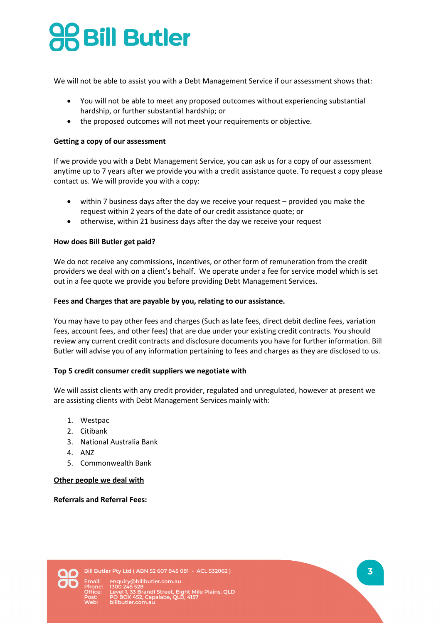# **Bill Butler**

We will not be able to assist you with a Debt Management Service if our assessment shows that:

- You will not be able to meet any proposed outcomes without experiencing substantial hardship, or further substantial hardship; or
- the proposed outcomes will not meet your requirements or objective.

## **Getting a copy of our assessment**

If we provide you with a Debt Management Service, you can ask us for a copy of our assessment anytime up to 7 years after we provide you with a credit assistance quote. To request a copy please contact us. We will provide you with a copy:

- within 7 business days after the day we receive your request provided you make the request within 2 years of the date of our credit assistance quote; or
- otherwise, within 21 business days after the day we receive your request

## **How does Bill Butler get paid?**

We do not receive any commissions, incentives, or other form of remuneration from the credit providers we deal with on a client's behalf. We operate under a fee for service model which is set out in a fee quote we provide you before providing Debt Management Services.

## **Fees and Charges that are payable by you, relating to our assistance.**

You may have to pay other fees and charges (Such as late fees, direct debit decline fees, variation fees, account fees, and other fees) that are due under your existing credit contracts. You should review any current credit contracts and disclosure documents you have for further information. Bill Butler will advise you of any information pertaining to fees and charges as they are disclosed to us.

#### **Top 5 credit consumer credit suppliers we negotiate with**

We will assist clients with any credit provider, regulated and unregulated, however at present we are assisting clients with Debt Management Services mainly with:

- 1. Westpac
- 2. Citibank
- 3. National Australia Bank
- 4. ANZ
- 5. Commonwealth Bank

#### **Other people we deal with**

**Referrals and Referral Fees:** 

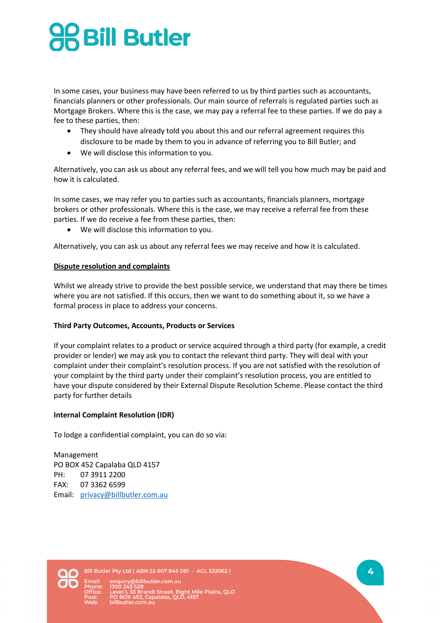# **Bill Butler**

In some cases, your business may have been referred to us by third parties such as accountants, financials planners or other professionals. Our main source of referrals is regulated parties such as Mortgage Brokers. Where this is the case, we may pay a referral fee to these parties. If we do pay a fee to these parties, then:

- They should have already told you about this and our referral agreement requires this disclosure to be made by them to you in advance of referring you to Bill Butler; and
- We will disclose this information to you.

Alternatively, you can ask us about any referral fees, and we will tell you how much may be paid and how it is calculated.

In some cases, we may refer you to parties such as accountants, financials planners, mortgage brokers or other professionals. Where this is the case, we may receive a referral fee from these parties. If we do receive a fee from these parties, then:

• We will disclose this information to you.

Alternatively, you can ask us about any referral fees we may receive and how it is calculated.

# **Dispute resolution and complaints**

Whilst we already strive to provide the best possible service, we understand that may there be times where you are not satisfied. If this occurs, then we want to do something about it, so we have a formal process in place to address your concerns.

# **Third Party Outcomes, Accounts, Products or Services**

If your complaint relates to a product or service acquired through a third party (for example, a credit provider or lender) we may ask you to contact the relevant third party. They will deal with your complaint under their complaint's resolution process. If you are not satisfied with the resolution of your complaint by the third party under their complaint's resolution process, you are entitled to have your dispute considered by their External Dispute Resolution Scheme. Please contact the third party for further details

# **Internal Complaint Resolution (IDR)**

To lodge a confidential complaint, you can do so via:

Management PO BOX 452 Capalaba QLD 4157 PH: 07 3911 2200 FAX: 07 3362 6599 Email: privacy@billbutler.com.au



Bill Butler Pty Ltd (ABN 52 607 845 081 - ACL 532062)

@billbutler.com.au Level 1, 33 Brandl Street, Eight Mile Plains, QLD<br>PO BOX 452, Capalaba, QLD, 4157<br>billbutler.com.au